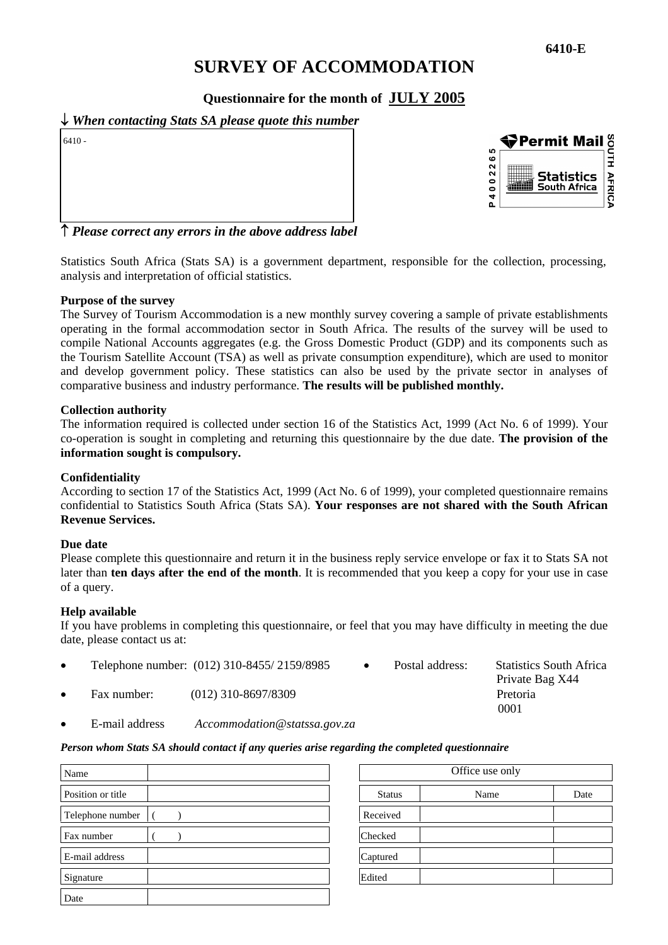## **SURVEY OF ACCOMMODATION**

**Questionnaire for the month of JULY 2005**

## ↓ *When contacting Stats SA please quote this number*

6410 -



↑ *Please correct any errors in the above address label* 

Statistics South Africa (Stats SA) is a government department, responsible for the collection, processing, analysis and interpretation of official statistics.

### **Purpose of the survey**

The Survey of Tourism Accommodation is a new monthly survey covering a sample of private establishments operating in the formal accommodation sector in South Africa. The results of the survey will be used to compile National Accounts aggregates (e.g. the Gross Domestic Product (GDP) and its components such as the Tourism Satellite Account (TSA) as well as private consumption expenditure), which are used to monitor and develop government policy. These statistics can also be used by the private sector in analyses of comparative business and industry performance. **The results will be published monthly.** 

#### **Collection authority**

The information required is collected under section 16 of the Statistics Act, 1999 (Act No. 6 of 1999). Your co-operation is sought in completing and returning this questionnaire by the due date. **The provision of the information sought is compulsory.**

### **Confidentiality**

According to section 17 of the Statistics Act, 1999 (Act No. 6 of 1999), your completed questionnaire remains confidential to Statistics South Africa (Stats SA). **Your responses are not shared with the South African Revenue Services.** 

#### **Due date**

Please complete this questionnaire and return it in the business reply service envelope or fax it to Stats SA not later than **ten days after the end of the month**. It is recommended that you keep a copy for your use in case of a query.

### **Help available**

If you have problems in completing this questionnaire, or feel that you may have difficulty in meeting the due date, please contact us at:

|             | Telephone number: (012) 310-8455/2159/8985 | Postal address: | <b>Statistics South Africa</b><br>Private Bag X44 |
|-------------|--------------------------------------------|-----------------|---------------------------------------------------|
| Fax number: | $(012)$ 310-8697/8309                      |                 | Pretoria                                          |
|             |                                            |                 | 0001                                              |

• E-mail address *Accommodation@statssa.gov.za* 

### *Person whom Stats SA should contact if any queries arise regarding the completed questionnaire*

| Name              |          | Office use only |      |      |
|-------------------|----------|-----------------|------|------|
| Position or title |          | <b>Status</b>   | Name | Date |
| Telephone number  | Received |                 |      |      |
| Fax number        | Checked  |                 |      |      |
| E-mail address    | Captured |                 |      |      |
| Signature         | Edited   |                 |      |      |
| Date              |          |                 |      |      |

| Office use only |      |      |
|-----------------|------|------|
| <b>Status</b>   | Name | Date |
| Received        |      |      |
| Checked         |      |      |
| Captured        |      |      |
| Edited          |      |      |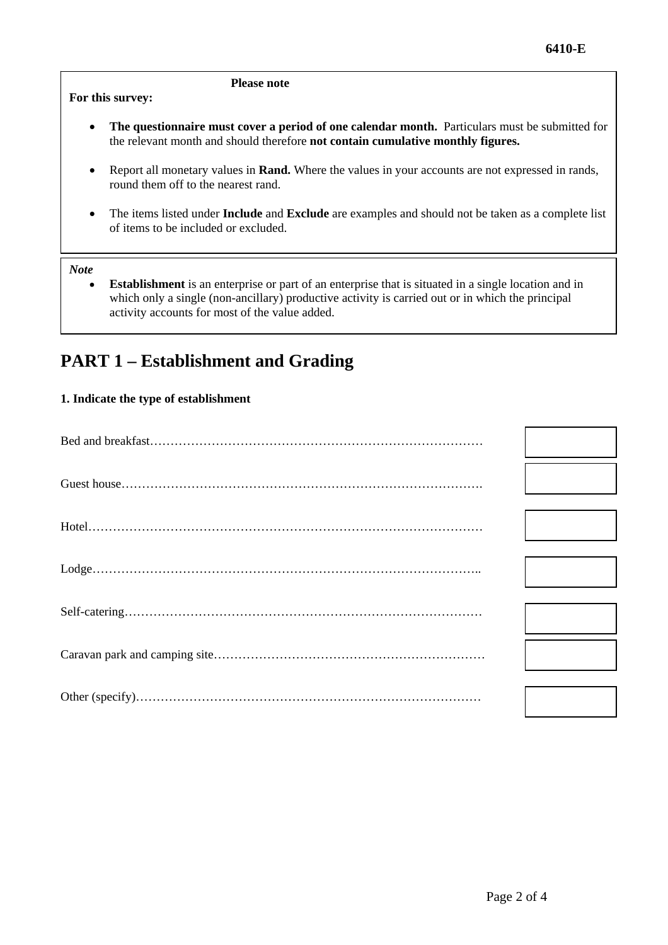### **For this survey:**

### **Please note**

- The questionnaire must cover a period of one calendar month. Particulars must be submitted for the relevant month and should therefore **not contain cumulative monthly figures.**
- Report all monetary values in **Rand.** Where the values in your accounts are not expressed in rands, round them off to the nearest rand.
- The items listed under **Include** and **Exclude** are examples and should not be taken as a complete list of items to be included or excluded.

### *Note*

**Establishment** is an enterprise or part of an enterprise that is situated in a single location and in which only a single (non-ancillary) productive activity is carried out or in which the principal activity accounts for most of the value added.

## **PART 1 – Establishment and Grading**

### **1. Indicate the type of establishment**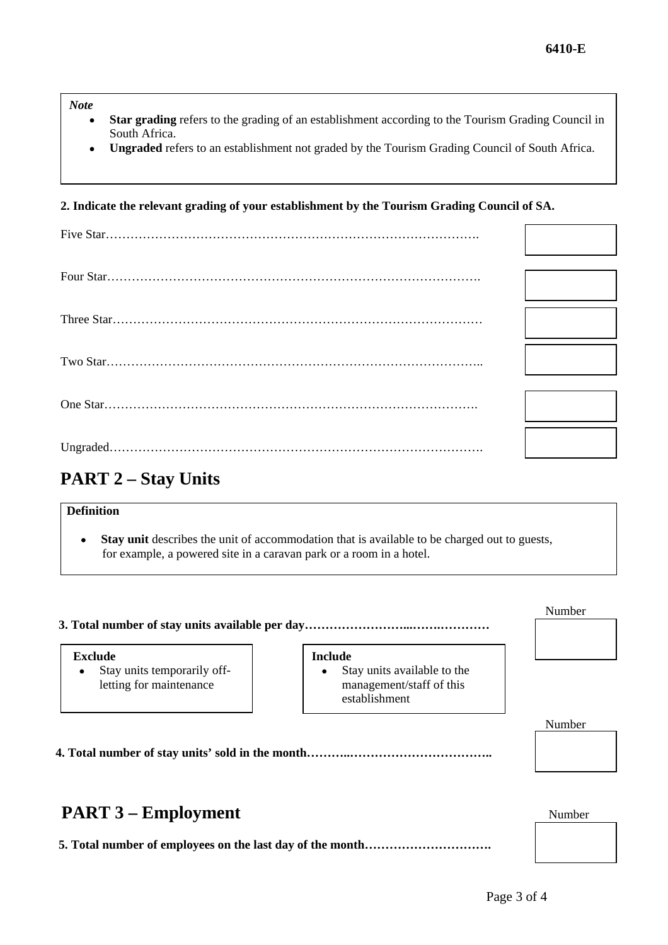*Note* 

- **Star grading** refers to the grading of an establishment according to the Tourism Grading Council in South Africa.
- **Ungraded** refers to an establishment not graded by the Tourism Grading Council of South Africa.

### **2. Indicate the relevant grading of your establishment by the Tourism Grading Council of SA.**

# **PART 2 – Stay Units**

## **Definition**

• **Stay unit** describes the unit of accommodation that is available to be charged out to guests, for example, a powered site in a caravan park or a room in a hotel.

#### **3. Total number of stay units available per day……………………...…….…………**

#### **Exclude**

• Stay units temporarily offletting for maintenance

#### **Include**

• Stay units available to the management/staff of this establishment

 **4. Total number of stay units' sold in the month………..……………………………..** 

## **PART 3 – Employment** Number

 **5. Total number of employees on the last day of the month………………………….** 

Number

Number